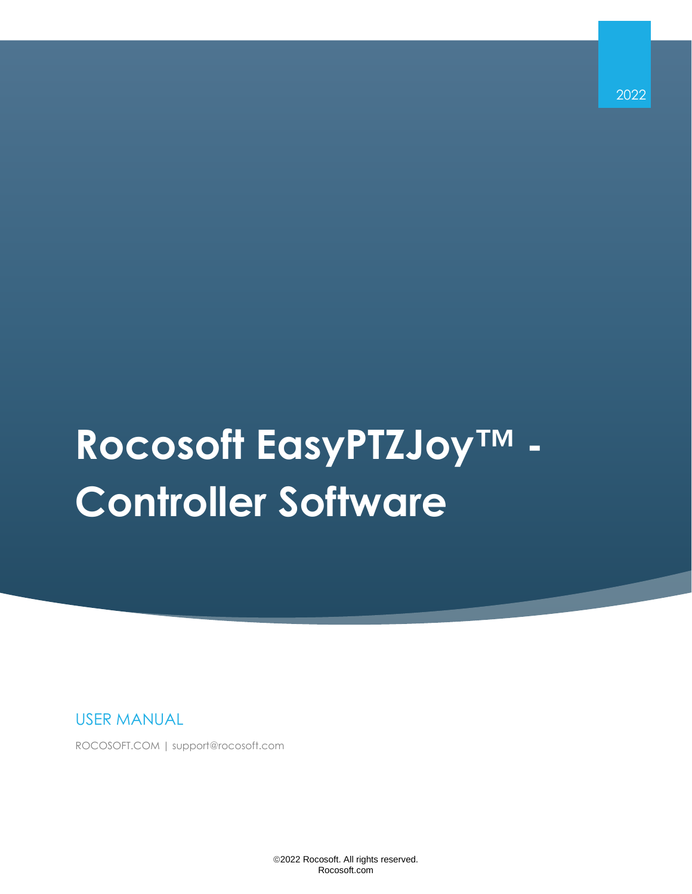2022

# **Rocosoft EasyPTZJoy™ - Controller Software**

USER MANUAL

ROCOSOFT.COM | support@rocosoft.com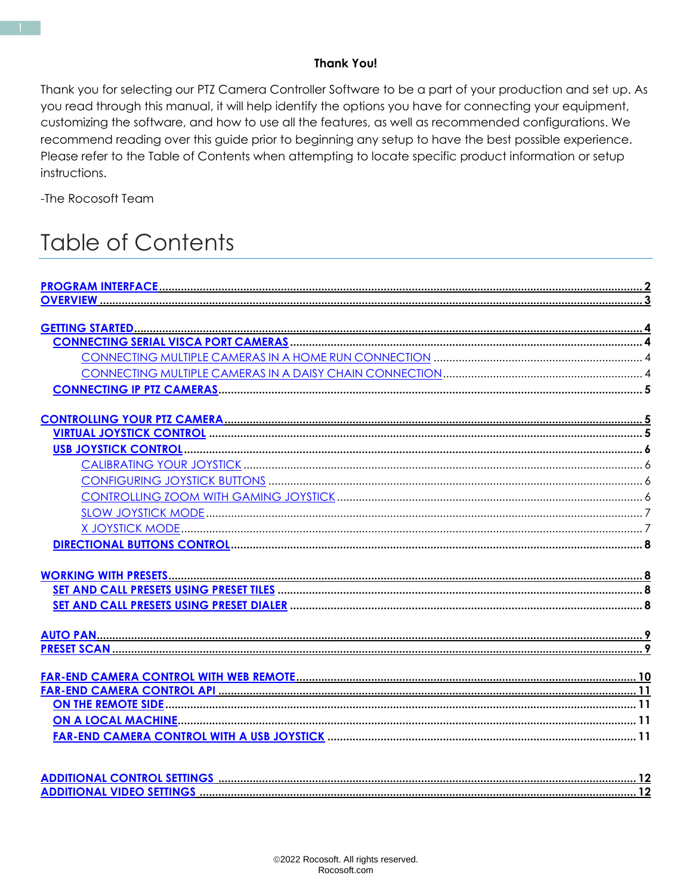#### **Thank You!**

Thank you for selecting our PTZ Camera Controller Software to be a part of your production and set up. As you read through this manual, it will help identify the options you have for connecting your equipment, customizing the software, and how to use all the features, as well as recommended configurations. We recommend reading over this guide prior to beginning any setup to have the best possible experience. Please refer to the Table of Contents when attempting to locate specific product information or setup instructions.

-The Rocosoft Team

# **Table of Contents**

<span id="page-1-0"></span>

| <b>ADDITIONAL CONTROL SETTINGS.</b> |  |
|-------------------------------------|--|
| <b>ADDITIONAL VIDEO SETTINGS</b>    |  |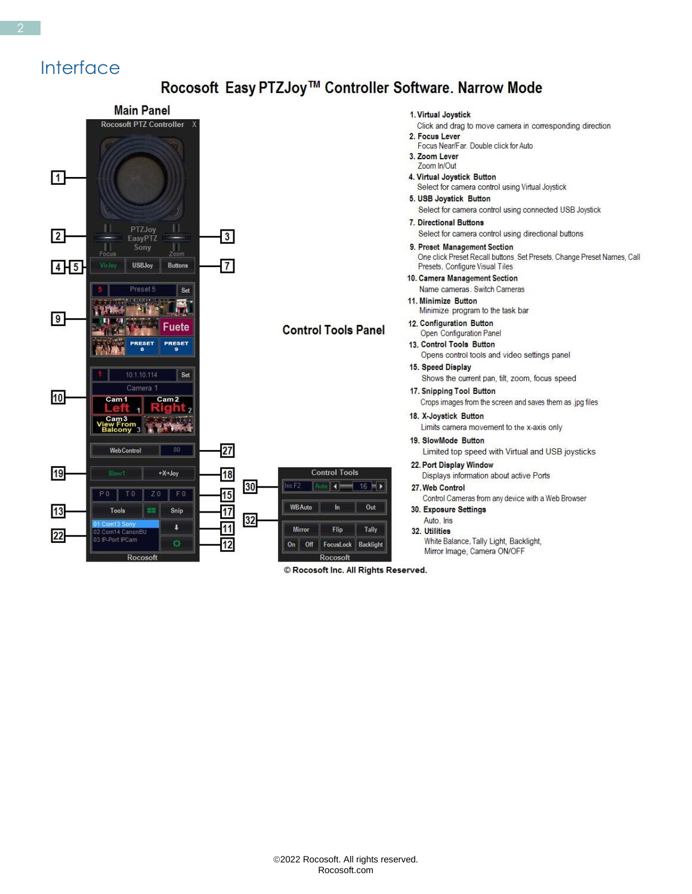#### **Interface**

#### Rocosoft Easy PTZJoy™ Controller Software. Narrow Mode



© Rocosoft Inc. All Rights Reserved.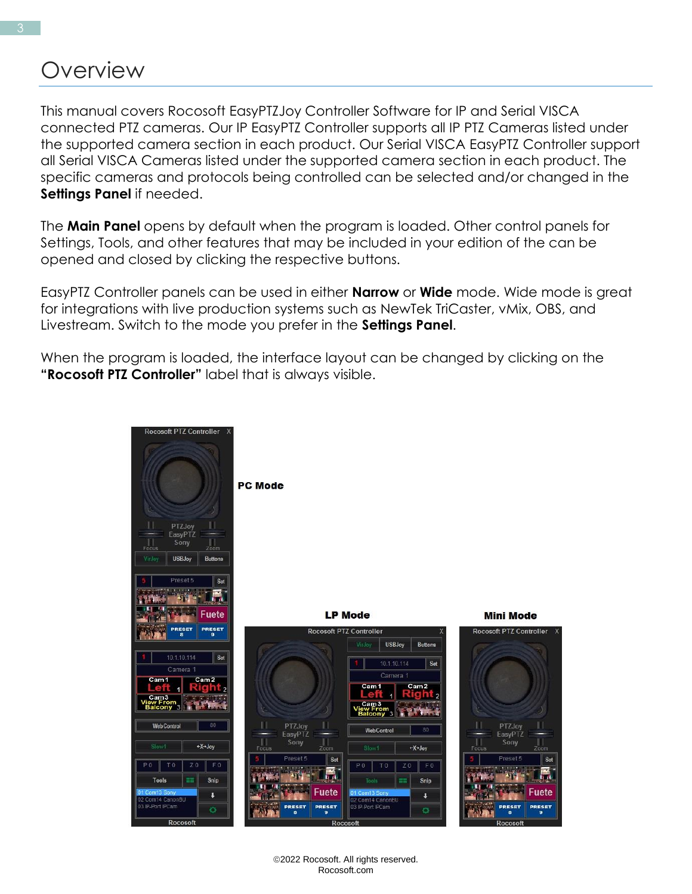### **Overview**

This manual covers Rocosoft EasyPTZJoy Controller Software for IP and Serial VISCA connected PTZ cameras. Our IP EasyPTZ Controller supports all IP PTZ Cameras listed under the supported camera section in each product. Our Serial VISCA EasyPTZ Controller support all Serial VISCA Cameras listed under the supported camera section in each product. The specific cameras and protocols being controlled can be selected and/or changed in the **Settings Panel** if needed.

The **Main Panel** opens by default when the program is loaded. Other control panels for Settings, Tools, and other features that may be included in your edition of the can be opened and closed by clicking the respective buttons.

EasyPTZ Controller panels can be used in either **Narrow** or **Wide** mode. Wide mode is great for integrations with live production systems such as NewTek TriCaster, vMix, OBS, and Livestream. Switch to the mode you prefer in the **Settings Panel**.

When the program is loaded, the interface layout can be changed by clicking on the **"Rocosoft PTZ Controller"** label that is always visible.



©2022 Rocosoft. All rights reserved. Rocosoft.com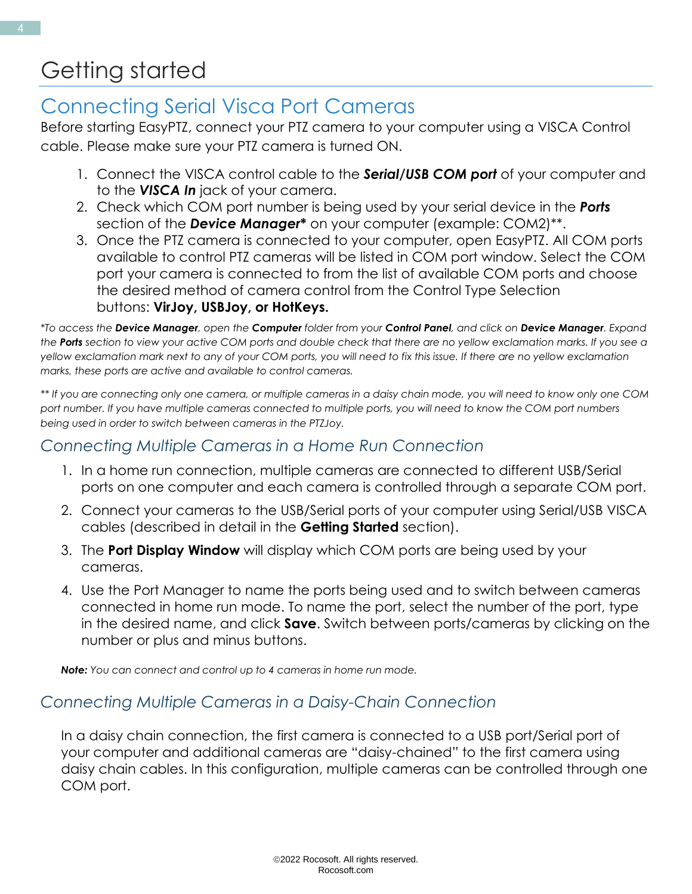# <span id="page-4-0"></span>Getting started

### <span id="page-4-1"></span>Connecting Serial Visca Port Cameras

Before starting EasyPTZ, connect your PTZ camera to your computer using a VISCA Control cable. Please make sure your PTZ camera is turned ON.

- 1. Connect the VISCA control cable to the *Serial/USB COM port* of your computer and to the *VISCA In* jack of your camera.
- 2. Check which COM port number is being used by your serial device in the *Ports* section of the *Device Manager***\*** on your computer (example: COM2)\*\*.
- 3. Once the PTZ camera is connected to your computer, open EasyPTZ. All COM ports available to control PTZ cameras will be listed in COM port window. Select the COM port your camera is connected to from the list of available COM ports and choose the desired method of camera control from the Control Type Selection buttons: **VirJoy, USBJoy, or HotKeys.**

*\*To access the Device Manager, open the Computer folder from your Control Panel, and click on Device Manager. Expand the Ports section to view your active COM ports and double check that there are no yellow exclamation marks. If you see a yellow exclamation mark next to any of your COM ports, you will need to fix this issue. If there are no yellow exclamation marks, these ports are active and available to control cameras.* 

*\*\* If you are connecting only one camera, or multiple cameras in a daisy chain mode, you will need to know only one COM port number. If you have multiple cameras connected to multiple ports, you will need to know the COM port numbers being used in order to switch between cameras in the PTZJoy.*

#### <span id="page-4-2"></span>*Connecting Multiple Cameras in a Home Run Connection*

- 1. In a home run connection, multiple cameras are connected to different USB/Serial ports on one computer and each camera is controlled through a separate COM port.
- 2. Connect your cameras to the USB/Serial ports of your computer using Serial/USB VISCA cables (described in detail in the **Getting Started** section).
- 3. The **Port Display Window** will display which COM ports are being used by your cameras.
- 4. Use the Port Manager to name the ports being used and to switch between cameras connected in home run mode. To name the port, select the number of the port, type in the desired name, and click **Save**. Switch between ports/cameras by clicking on the number or plus and minus buttons.

*Note: You can connect and control up to 4 cameras in home run mode.*

#### <span id="page-4-3"></span>*Connecting Multiple Cameras in a Daisy-Chain Connection*

In a daisy chain connection, the first camera is connected to a USB port/Serial port of your computer and additional cameras are "daisy-chained" to the first camera using daisy chain cables. In this configuration, multiple cameras can be controlled through one COM port.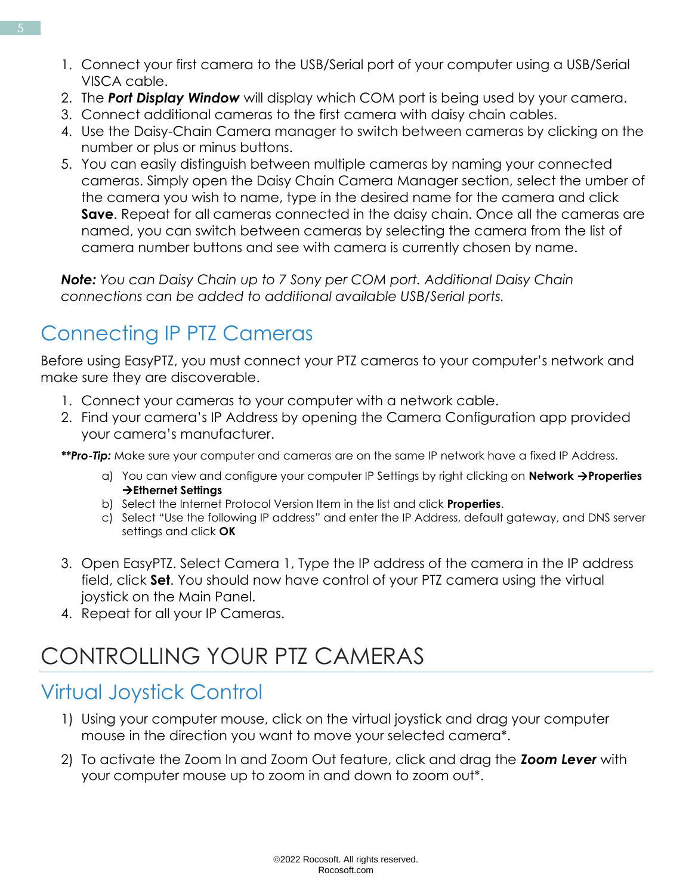- 1. Connect your first camera to the USB/Serial port of your computer using a USB/Serial VISCA cable.
- 2. The *Port Display Window* will display which COM port is being used by your camera.
- 3. Connect additional cameras to the first camera with daisy chain cables.
- 4. Use the Daisy-Chain Camera manager to switch between cameras by clicking on the number or plus or minus buttons.
- 5. You can easily distinguish between multiple cameras by naming your connected cameras. Simply open the Daisy Chain Camera Manager section, select the umber of the camera you wish to name, type in the desired name for the camera and click **Save**. Repeat for all cameras connected in the daisy chain. Once all the cameras are named, you can switch between cameras by selecting the camera from the list of camera number buttons and see with camera is currently chosen by name.

*Note: You can Daisy Chain up to 7 Sony per COM port. Additional Daisy Chain connections can be added to additional available USB/Serial ports.*

### <span id="page-5-0"></span>Connecting IP PTZ Cameras

Before using EasyPTZ, you must connect your PTZ cameras to your computer's network and make sure they are discoverable.

- 1. Connect your cameras to your computer with a network cable.
- 2. Find your camera's IP Address by opening the Camera Configuration app provided your camera's manufacturer.

*\*\*Pro-Tip:* Make sure your computer and cameras are on the same IP network have a fixed IP Address.

- a) You can view and configure your computer IP Settings by right clicking on **Network** →**Properties**  →**Ethernet Settings**
- b) Select the Internet Protocol Version Item in the list and click **Properties**.
- c) Select "Use the following IP address" and enter the IP Address, default gateway, and DNS server settings and click **OK**
- 3. Open EasyPTZ. Select Camera 1, Type the IP address of the camera in the IP address field, click **Set**. You should now have control of your PTZ camera using the virtual joystick on the Main Panel.
- 4. Repeat for all your IP Cameras.

# CONTROLLING YOUR PTZ CAMERAS

### <span id="page-5-1"></span>Virtual Joystick Control

- 1) Using your computer mouse, click on the virtual joystick and drag your computer mouse in the direction you want to move your selected camera\*.
- 2) To activate the Zoom In and Zoom Out feature, click and drag the *Zoom Lever* with your computer mouse up to zoom in and down to zoom out\*.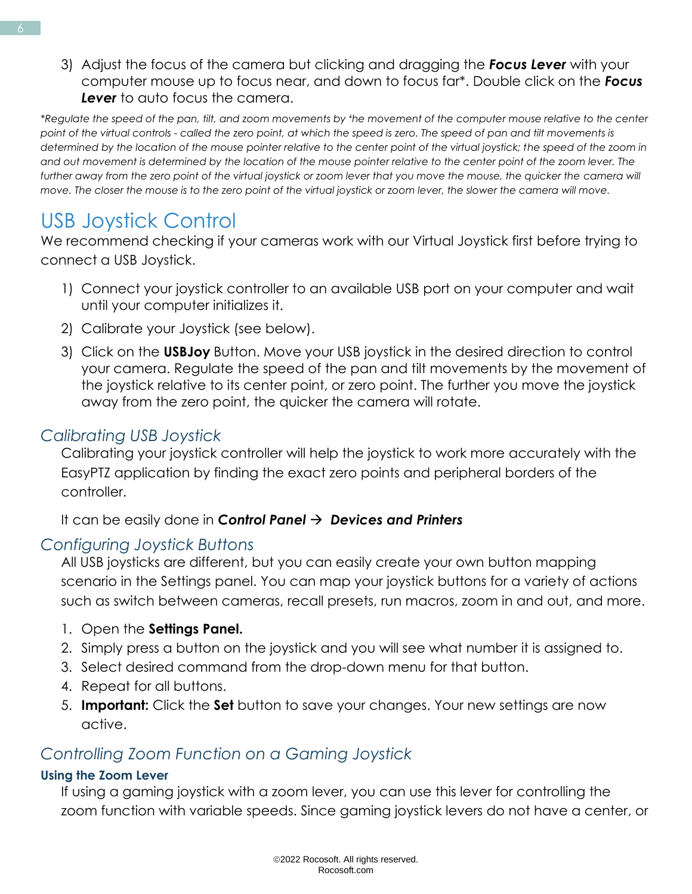3) Adjust the focus of the camera but clicking and dragging the *Focus Lever* with your computer mouse up to focus near, and down to focus far\*. Double click on the *Focus Lever* to auto focus the camera.

*\*Regulate the speed of the pan, tilt, and zoom movements by the movement of the computer mouse relative to the center point of the virtual controls - called the zero point, at which the speed is zero. The speed of pan and tilt movements is determined by the location of the mouse pointer relative to the center point of the virtual joystick; the speed of the zoom in and out movement is determined by the location of the mouse pointer relative to the center point of the zoom lever. The further away from the zero point of the virtual joystick or zoom lever that you move the mouse, the quicker the camera will move. The closer the mouse is to the zero point of the virtual joystick or zoom lever, the slower the camera will move.*

### <span id="page-6-0"></span>USB Joystick Control

We recommend checking if your cameras work with our Virtual Joystick first before trying to connect a USB Joystick.

- 1) Connect your joystick controller to an available USB port on your computer and wait until your computer initializes it.
- 2) Calibrate your Joystick (see below).
- 3) Click on the **USBJoy** Button. Move your USB joystick in the desired direction to control your camera. Regulate the speed of the pan and tilt movements by the movement of the joystick relative to its center point, or zero point. The further you move the joystick away from the zero point, the quicker the camera will rotate.

#### <span id="page-6-1"></span>*Calibrating USB Joystick*

Calibrating your joystick controller will help the joystick to work more accurately with the EasyPTZ application by finding the exact zero points and peripheral borders of the controller.

It can be easily done in *Control Panel* → *Devices and Printers*

#### <span id="page-6-2"></span>*Configuring Joystick Buttons*

All USB joysticks are different, but you can easily create your own button mapping scenario in the Settings panel. You can map your joystick buttons for a variety of actions such as switch between cameras, recall presets, run macros, zoom in and out, and more.

- 1. Open the **Settings Panel.**
- 2. Simply press a button on the joystick and you will see what number it is assigned to.
- 3. Select desired command from the drop-down menu for that button.
- 4. Repeat for all buttons.
- 5. **Important:** Click the **Set** button to save your changes. Your new settings are now active.

#### <span id="page-6-3"></span>*Controlling Zoom Function on a Gaming Joystick*

#### **Using the Zoom Lever**

If using a gaming joystick with a zoom lever, you can use this lever for controlling the zoom function with variable speeds. Since gaming joystick levers do not have a center, or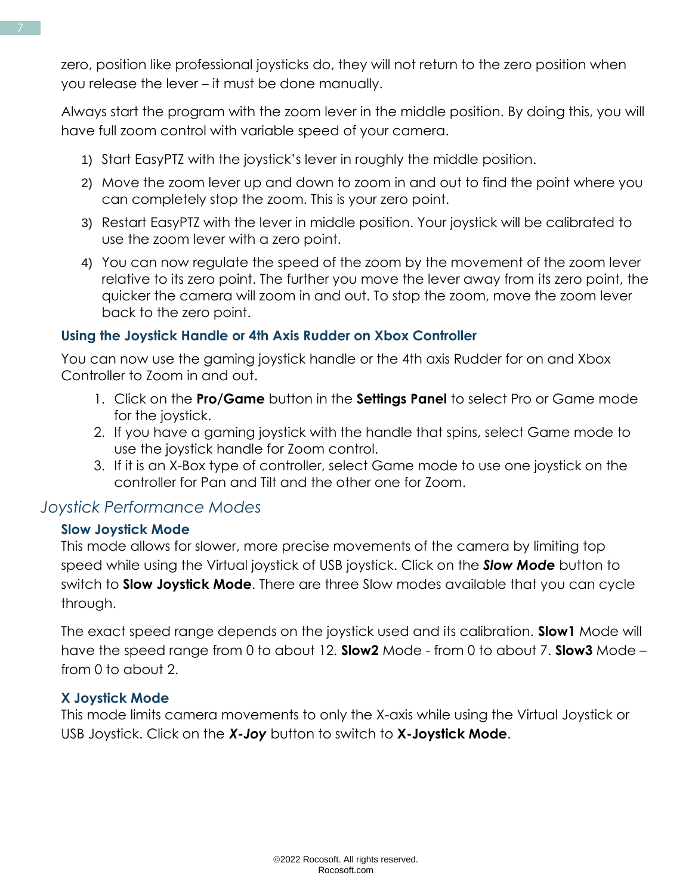zero, position like professional joysticks do, they will not return to the zero position when you release the lever – it must be done manually.

Always start the program with the zoom lever in the middle position. By doing this, you will have full zoom control with variable speed of your camera.

- 1) Start EasyPTZ with the joystick's lever in roughly the middle position.
- 2) Move the zoom lever up and down to zoom in and out to find the point where you can completely stop the zoom. This is your zero point.
- 3) Restart EasyPTZ with the lever in middle position. Your joystick will be calibrated to use the zoom lever with a zero point.
- 4) You can now regulate the speed of the zoom by the movement of the zoom lever relative to its zero point. The further you move the lever away from its zero point, the quicker the camera will zoom in and out. To stop the zoom, move the zoom lever back to the zero point.

#### **Using the Joystick Handle or 4th Axis Rudder on Xbox Controller**

You can now use the gaming joystick handle or the 4th axis Rudder for on and Xbox Controller to Zoom in and out.

- 1. Click on the **Pro/Game** button in the **Settings Panel** to select Pro or Game mode for the joystick.
- 2. If you have a gaming joystick with the handle that spins, select Game mode to use the joystick handle for Zoom control.
- 3. If it is an X-Box type of controller, select Game mode to use one joystick on the controller for Pan and Tilt and the other one for Zoom.

#### <span id="page-7-0"></span>*Joystick Performance Modes*

#### **Slow Joystick Mode**

This mode allows for slower, more precise movements of the camera by limiting top speed while using the Virtual joystick of USB joystick. Click on the *Slow Mode* button to switch to **Slow Joystick Mode**. There are three Slow modes available that you can cycle through.

The exact speed range depends on the joystick used and its calibration. **Slow1** Mode will have the speed range from 0 to about 12. **Slow2** Mode - from 0 to about 7. **Slow3** Mode – from 0 to about 2.

#### <span id="page-7-1"></span>**X Joystick Mode**

This mode limits camera movements to only the X-axis while using the Virtual Joystick or USB Joystick. Click on the *X-Joy* button to switch to **X-Joystick Mode**.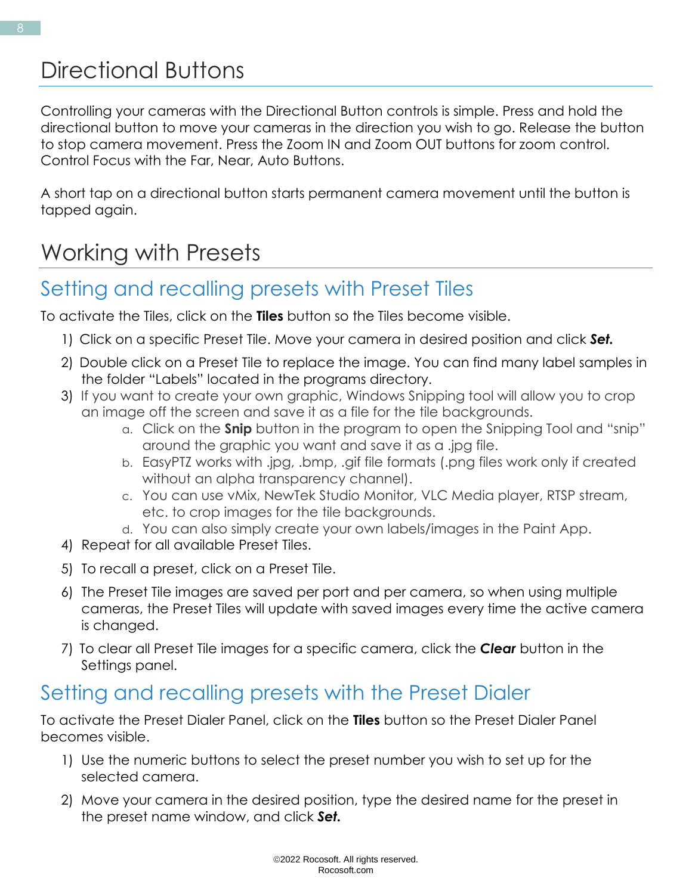### <span id="page-8-0"></span>Directional Buttons

Controlling your cameras with the Directional Button controls is simple. Press and hold the directional button to move your cameras in the direction you wish to go. Release the button to stop camera movement. Press the Zoom IN and Zoom OUT buttons for zoom control. Control Focus with the Far, Near, Auto Buttons.

A short tap on a directional button starts permanent camera movement until the button is tapped again.

# Working with Presets

### <span id="page-8-1"></span>Setting and recalling presets with Preset Tiles

To activate the Tiles, click on the **Tiles** button so the Tiles become visible.

- 1) Click on a specific Preset Tile. Move your camera in desired position and click *Set.*
- 2) Double click on a Preset Tile to replace the image. You can find many label samples in the folder "Labels" located in the programs directory.
- 3) If you want to create your own graphic, Windows Snipping tool will allow you to crop an image off the screen and save it as a file for the tile backgrounds.
	- a. Click on the **Snip** button in the program to open the Snipping Tool and "snip" around the graphic you want and save it as a .jpg file.
	- b. EasyPTZ works with .jpg, .bmp, .gif file formats (.png files work only if created without an alpha transparency channel).
	- c. You can use vMix, NewTek Studio Monitor, VLC Media player, RTSP stream, etc. to crop images for the tile backgrounds.
	- d. You can also simply create your own labels/images in the Paint App.
- 4) Repeat for all available Preset Tiles.
- 5) To recall a preset, click on a Preset Tile.
- 6) The Preset Tile images are saved per port and per camera, so when using multiple cameras, the Preset Tiles will update with saved images every time the active camera is changed.
- 7) To clear all Preset Tile images for a specific camera, click the *Clear* button in the Settings panel.

### <span id="page-8-2"></span>Setting and recalling presets with the Preset Dialer

To activate the Preset Dialer Panel, click on the **Tiles** button so the Preset Dialer Panel becomes visible.

- 1) Use the numeric buttons to select the preset number you wish to set up for the selected camera.
- 2) Move your camera in the desired position, type the desired name for the preset in the preset name window, and click *Set.*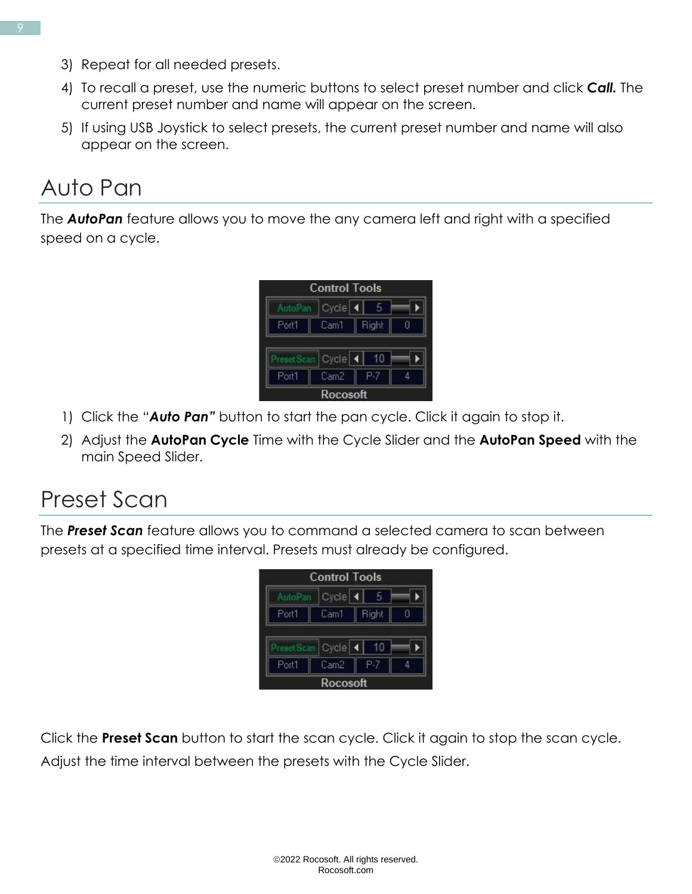- 3) Repeat for all needed presets.
- 4) To recall a preset, use the numeric buttons to select preset number and click *Call.* The current preset number and name will appear on the screen.
- 5) If using USB Joystick to select presets, the current preset number and name will also appear on the screen.

# Auto Pan

The *AutoPan* feature allows you to move the any camera left and right with a specified speed on a cycle.



- 1) Click the "*Auto Pan"* button to start the pan cycle. Click it again to stop it.
- 2) Adjust the **AutoPan Cycle** Time with the Cycle Slider and the **AutoPan Speed** with the main Speed Slider.

# <span id="page-9-0"></span>Preset Scan

The *Preset Scan* feature allows you to command a selected camera to scan between presets at a specified time interval. Presets must already be configured.



Click the **Preset Scan** button to start the scan cycle. Click it again to stop the scan cycle. Adjust the time interval between the presets with the Cycle Slider.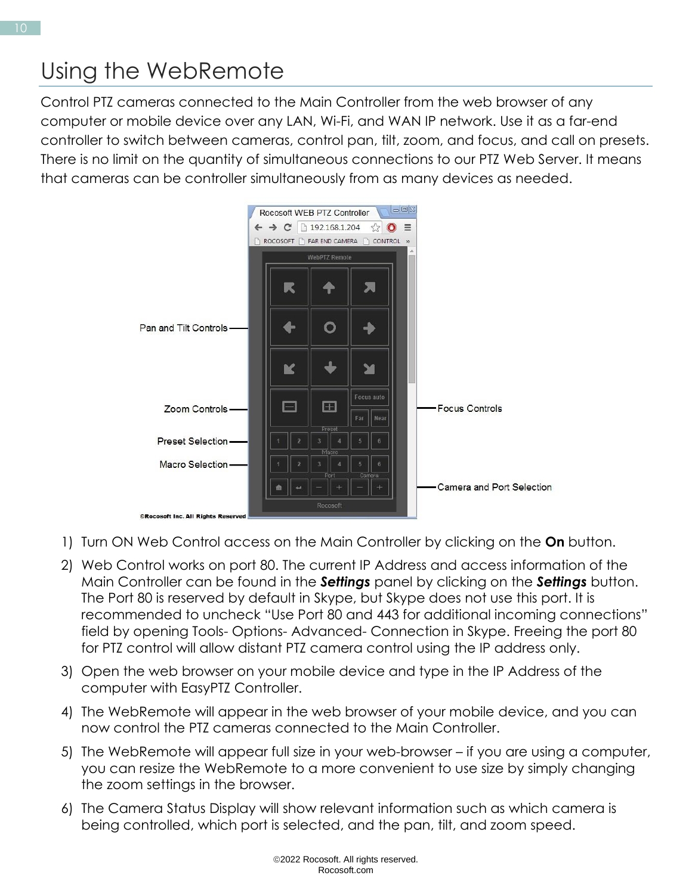<span id="page-10-0"></span>Control PTZ cameras connected to the Main Controller from the web browser of any computer or mobile device over any LAN, Wi-Fi, and WAN IP network. Use it as a far-end controller to switch between cameras, control pan, tilt, zoom, and focus, and call on presets. There is no limit on the quantity of simultaneous connections to our PTZ Web Server. It means that cameras can be controller simultaneously from as many devices as needed.



- 1) Turn ON Web Control access on the Main Controller by clicking on the **On** button.
- 2) Web Control works on port 80. The current IP Address and access information of the Main Controller can be found in the *Settings* panel by clicking on the *Settings* button. The Port 80 is reserved by default in Skype, but Skype does not use this port. It is recommended to uncheck "Use Port 80 and 443 for additional incoming connections" field by opening Tools- Options- Advanced- Connection in Skype. Freeing the port 80 for PTZ control will allow distant PTZ camera control using the IP address only.
- 3) Open the web browser on your mobile device and type in the IP Address of the computer with EasyPTZ Controller.
- 4) The WebRemote will appear in the web browser of your mobile device, and you can now control the PTZ cameras connected to the Main Controller.
- 5) The WebRemote will appear full size in your web-browser if you are using a computer, you can resize the WebRemote to a more convenient to use size by simply changing the zoom settings in the browser.
- 6) The Camera Status Display will show relevant information such as which camera is being controlled, which port is selected, and the pan, tilt, and zoom speed.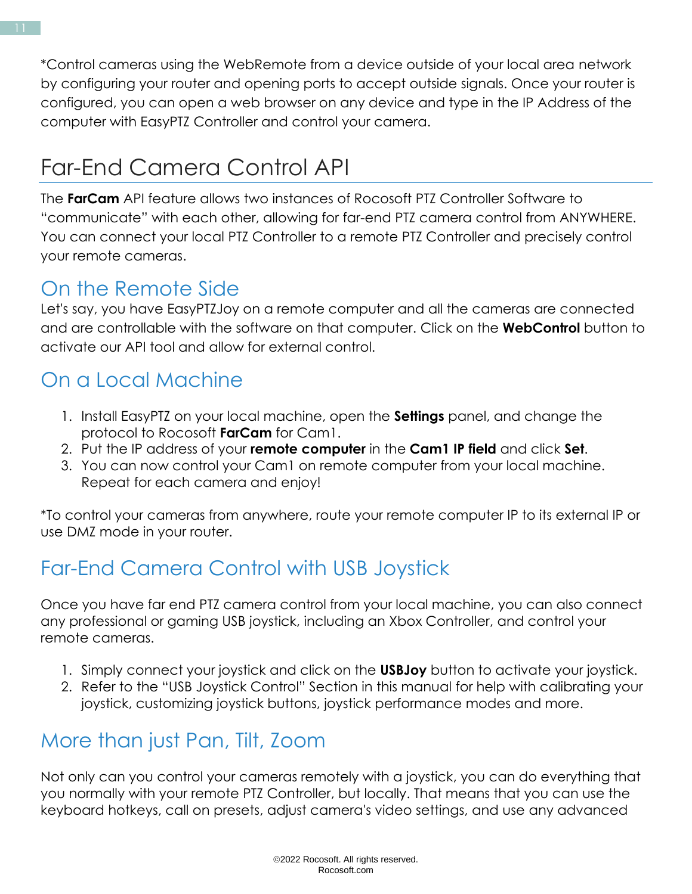\*Control cameras using the WebRemote from a device outside of your local area network by configuring your router and opening ports to accept outside signals. Once your router is configured, you can open a web browser on any device and type in the IP Address of the computer with EasyPTZ Controller and control your camera.

# <span id="page-11-0"></span>Far-End Camera Control API

The **FarCam** API feature allows two instances of Rocosoft PTZ Controller Software to "communicate" with each other, allowing for far-end PTZ camera control from ANYWHERE. You can connect your local PTZ Controller to a remote PTZ Controller and precisely control your remote cameras.

### <span id="page-11-4"></span><span id="page-11-1"></span>On the Remote Side

Let's say, you have EasyPTZJoy on a remote computer and all the cameras are connected and are controllable with the software on that computer. Click on the **WebControl** button to activate our API tool and allow for external control.

### <span id="page-11-2"></span>On a Local Machine

- 1. Install EasyPTZ on your local machine, open the **Settings** panel, and change the protocol to Rocosoft **FarCam** for Cam1.
- 2. Put the IP address of your **remote computer** in the **Cam1 IP field** and click **Set**.
- 3. You can now control your Cam1 on remote computer from your local machine. Repeat for each camera and enjoy!

\*To control your cameras from anywhere, route your remote computer IP to its external IP or use DMZ mode in your router.

# <span id="page-11-3"></span>Far-End Camera Control with USB Joystick

Once you have far end PTZ camera control from your local machine, you can also connect any professional or gaming USB joystick, including an Xbox Controller, and control your remote cameras.

- 1. Simply connect your joystick and click on the **USBJoy** button to activate your joystick.
- 2. Refer to the "USB Joystick Control" Section in this manual for help with calibrating your joystick, customizing joystick buttons, joystick performance modes and more.

### More than just Pan, Tilt, Zoom

Not only can you control your cameras remotely with a joystick, you can do everything that you normally with your remote PTZ Controller, but locally. That means that you can use the keyboard hotkeys, call on presets, adjust camera's video settings, and use any advanced